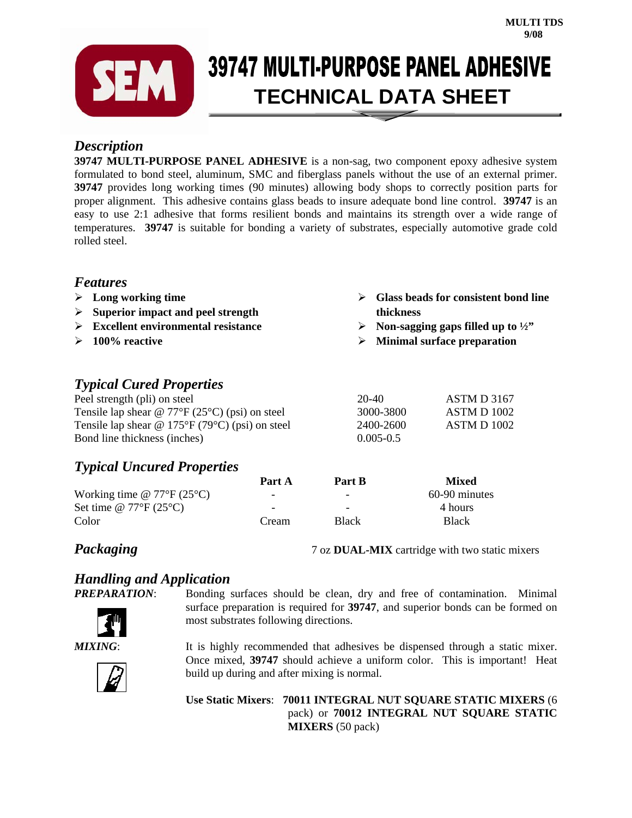

# **39747 MULTI-PURPOSE PANEL ADHESIVE SEEMS** 39747 MULLI-PURPUSE PANEL AUNE

### *Description*

**39747 MULTI-PURPOSE PANEL ADHESIVE** is a non-sag, two component epoxy adhesive system formulated to bond steel, aluminum, SMC and fiberglass panels without the use of an external primer. **39747** provides long working times (90 minutes) allowing body shops to correctly position parts for proper alignment. This adhesive contains glass beads to insure adequate bond line control. **39747** is an easy to use 2:1 adhesive that forms resilient bonds and maintains its strength over a wide range of temperatures. **39747** is suitable for bonding a variety of substrates, especially automotive grade cold rolled steel.

### *Features*

- ¾ **Long working time**
- ¾ **Superior impact and peel strength**
- ¾ **Excellent environmental resistance**
- ¾ **100% reactive**

## *Typical Cured Properties*

Peel strength (pli) on steel 20-40 ASTM D 3167 Tensile lap shear @ 77°F (25°C) (psi) on steel 3000-3800 ASTM D 1002 Tensile lap shear @ 175°F (79°C) (psi) on steel 2400-2600 ASTM D 1002 Bond line thickness (inches) 0.005-0.5

## *Typical Uncured Properties*

|                                           | Part A                   | Part B                   | <b>Mixed</b>  |
|-------------------------------------------|--------------------------|--------------------------|---------------|
| Working time @ $77^{\circ}F(25^{\circ}C)$ | -                        | -                        | 60-90 minutes |
| Set time @ $77^{\circ}F(25^{\circ}C)$     | $\overline{\phantom{0}}$ | $\overline{\phantom{0}}$ | 4 hours       |
| Color                                     | Cream                    | <b>Black</b>             | <b>Black</b>  |

**Packaging** 7 oz **DUAL-MIX** cartridge with two static mixers

¾ **Glass beads for consistent bond line** 

 $\triangleright$  Non-sagging gaps filled up to  $\frac{1}{2}$ ¾ **Minimal surface preparation** 

**thickness** 

# *Handling and Application*



*PrepAramaraking surfaces should be clean, dry and free of contamination. Minimal* surface preparation is required for **39747**, and superior bonds can be formed on most substrates following directions.

*MIXING*: It is highly recommended that adhesives be dispensed through a static mixer. Once mixed, **39747** should achieve a uniform color. This is important! Heat build up during and after mixing is normal.

> **Use Static Mixers**: **70011 INTEGRAL NUT SQUARE STATIC MIXERS** (6 pack) or **70012 INTEGRAL NUT SQUARE STATIC MIXERS** (50 pack)